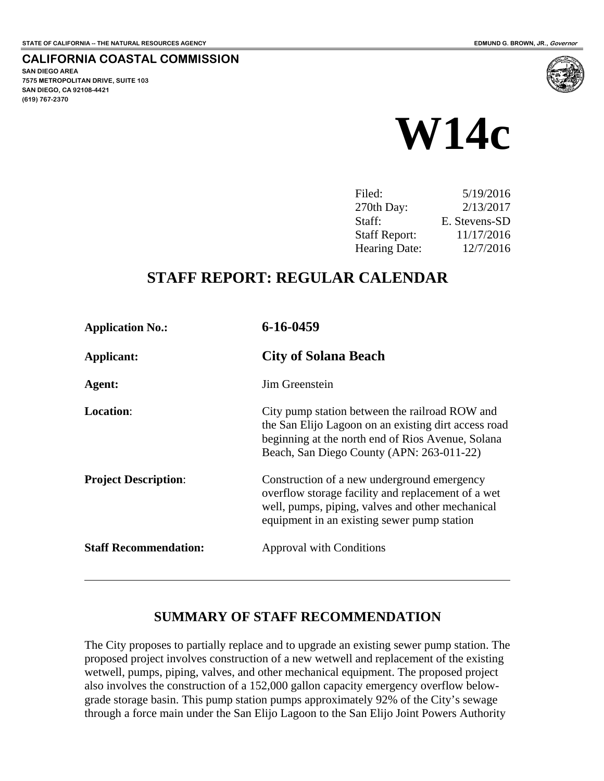**7575 METROPOLITAN DRIVE, SUITE 103** 

 $\overline{a}$ 

**SAN DIEGO AREA** 

**(619) 767-2370**

**SAN DIEGO, CA 92108-4421** 

**CALIFORNIA COASTAL COMMISSION** 

# **W14c**

| Filed:               | 5/19/2016     |
|----------------------|---------------|
| $270th$ Day:         | 2/13/2017     |
| Staff:               | E. Stevens-SD |
| <b>Staff Report:</b> | 11/17/2016    |
| Hearing Date:        | 12/7/2016     |
|                      |               |

### **STAFF REPORT: REGULAR CALENDAR**

| <b>Application No.:</b>      | 6-16-0459                                                                                                                                                                                                |
|------------------------------|----------------------------------------------------------------------------------------------------------------------------------------------------------------------------------------------------------|
| Applicant:                   | <b>City of Solana Beach</b>                                                                                                                                                                              |
| Agent:                       | Jim Greenstein                                                                                                                                                                                           |
| <b>Location:</b>             | City pump station between the railroad ROW and<br>the San Elijo Lagoon on an existing dirt access road<br>beginning at the north end of Rios Avenue, Solana<br>Beach, San Diego County (APN: 263-011-22) |
| <b>Project Description:</b>  | Construction of a new underground emergency<br>overflow storage facility and replacement of a wet<br>well, pumps, piping, valves and other mechanical<br>equipment in an existing sewer pump station     |
| <b>Staff Recommendation:</b> | <b>Approval with Conditions</b>                                                                                                                                                                          |

#### **SUMMARY OF STAFF RECOMMENDATION**

The City proposes to partially replace and to upgrade an existing sewer pump station. The proposed project involves construction of a new wetwell and replacement of the existing wetwell, pumps, piping, valves, and other mechanical equipment. The proposed project also involves the construction of a 152,000 gallon capacity emergency overflow belowgrade storage basin. This pump station pumps approximately 92% of the City's sewage through a force main under the San Elijo Lagoon to the San Elijo Joint Powers Authority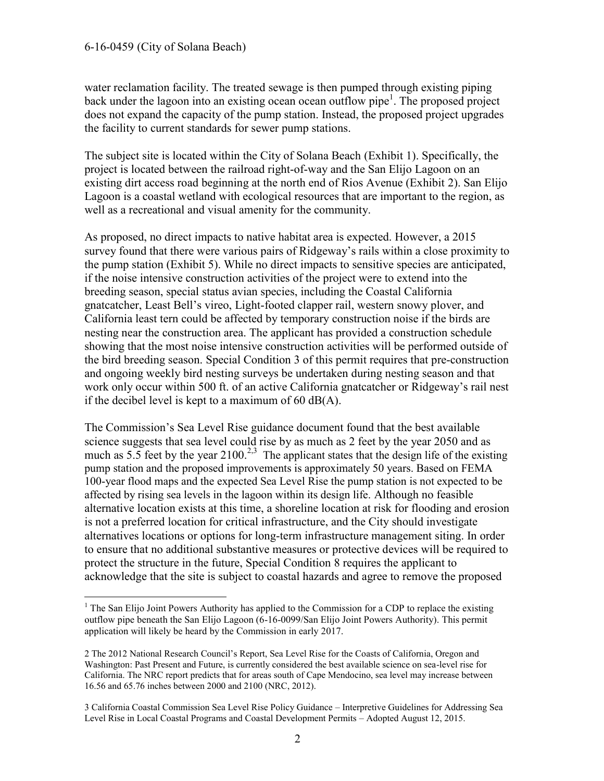#### 6-16-0459 (City of Solana Beach)

 $\overline{a}$ 

water reclamation facility. The treated sewage is then pumped through existing piping back under the lagoon into an existing ocean ocean outflow pipe<sup>1</sup>. The proposed project does not expand the capacity of the pump station. Instead, the proposed project upgrades the facility to current standards for sewer pump stations.

The subject site is located within the City of Solana Beach (Exhibit 1). Specifically, the project is located between the railroad right-of-way and the San Elijo Lagoon on an existing dirt access road beginning at the north end of Rios Avenue (Exhibit 2). San Elijo Lagoon is a coastal wetland with ecological resources that are important to the region, as well as a recreational and visual amenity for the community.

As proposed, no direct impacts to native habitat area is expected. However, a 2015 survey found that there were various pairs of Ridgeway's rails within a close proximity to the pump station (Exhibit 5). While no direct impacts to sensitive species are anticipated, if the noise intensive construction activities of the project were to extend into the breeding season, special status avian species, including the Coastal California gnatcatcher, Least Bell's vireo, Light-footed clapper rail, western snowy plover, and California least tern could be affected by temporary construction noise if the birds are nesting near the construction area. The applicant has provided a construction schedule showing that the most noise intensive construction activities will be performed outside of the bird breeding season. Special Condition 3 of this permit requires that pre-construction and ongoing weekly bird nesting surveys be undertaken during nesting season and that work only occur within 500 ft. of an active California gnatcatcher or Ridgeway's rail nest if the decibel level is kept to a maximum of 60 dB(A).

The Commission's Sea Level Rise guidance document found that the best available science suggests that sea level could rise by as much as 2 feet by the year 2050 and as much as 5.5 feet by the year  $2100^{2,3}$  The applicant states that the design life of the existing pump station and the proposed improvements is approximately 50 years. Based on FEMA 100-year flood maps and the expected Sea Level Rise the pump station is not expected to be affected by rising sea levels in the lagoon within its design life. Although no feasible alternative location exists at this time, a shoreline location at risk for flooding and erosion is not a preferred location for critical infrastructure, and the City should investigate alternatives locations or options for long-term infrastructure management siting. In order to ensure that no additional substantive measures or protective devices will be required to protect the structure in the future, Special Condition 8 requires the applicant to acknowledge that the site is subject to coastal hazards and agree to remove the proposed

<sup>&</sup>lt;sup>1</sup> The San Elijo Joint Powers Authority has applied to the Commission for a CDP to replace the existing outflow pipe beneath the San Elijo Lagoon (6-16-0099/San Elijo Joint Powers Authority). This permit application will likely be heard by the Commission in early 2017.

<sup>2</sup> The 2012 National Research Council's Report, Sea Level Rise for the Coasts of California, Oregon and Washington: Past Present and Future, is currently considered the best available science on sea-level rise for California. The NRC report predicts that for areas south of Cape Mendocino, sea level may increase between 16.56 and 65.76 inches between 2000 and 2100 (NRC, 2012).

<sup>3</sup> California Coastal Commission Sea Level Rise Policy Guidance – Interpretive Guidelines for Addressing Sea Level Rise in Local Coastal Programs and Coastal Development Permits – Adopted August 12, 2015.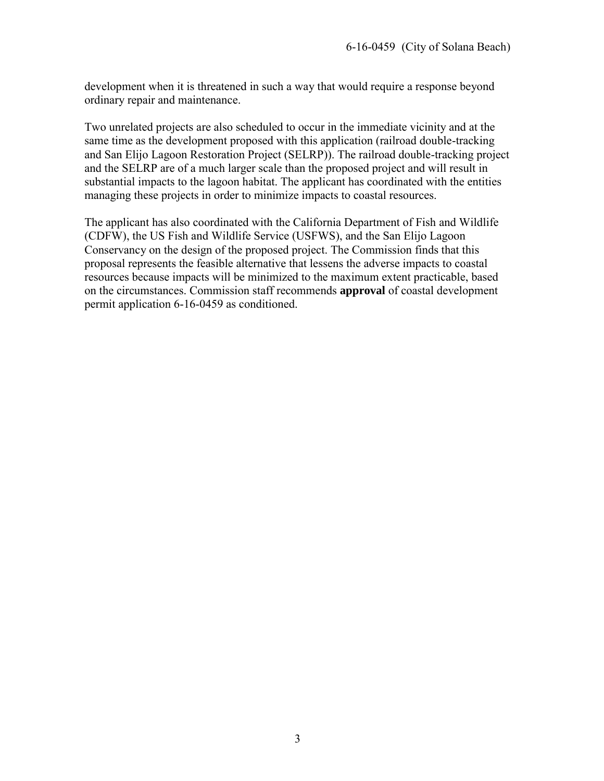development when it is threatened in such a way that would require a response beyond ordinary repair and maintenance.

Two unrelated projects are also scheduled to occur in the immediate vicinity and at the same time as the development proposed with this application (railroad double-tracking and San Elijo Lagoon Restoration Project (SELRP)). The railroad double-tracking project and the SELRP are of a much larger scale than the proposed project and will result in substantial impacts to the lagoon habitat. The applicant has coordinated with the entities managing these projects in order to minimize impacts to coastal resources.

The applicant has also coordinated with the California Department of Fish and Wildlife (CDFW), the US Fish and Wildlife Service (USFWS), and the San Elijo Lagoon Conservancy on the design of the proposed project. The Commission finds that this proposal represents the feasible alternative that lessens the adverse impacts to coastal resources because impacts will be minimized to the maximum extent practicable, based on the circumstances. Commission staff recommends **approval** of coastal development permit application 6-16-0459 as conditioned.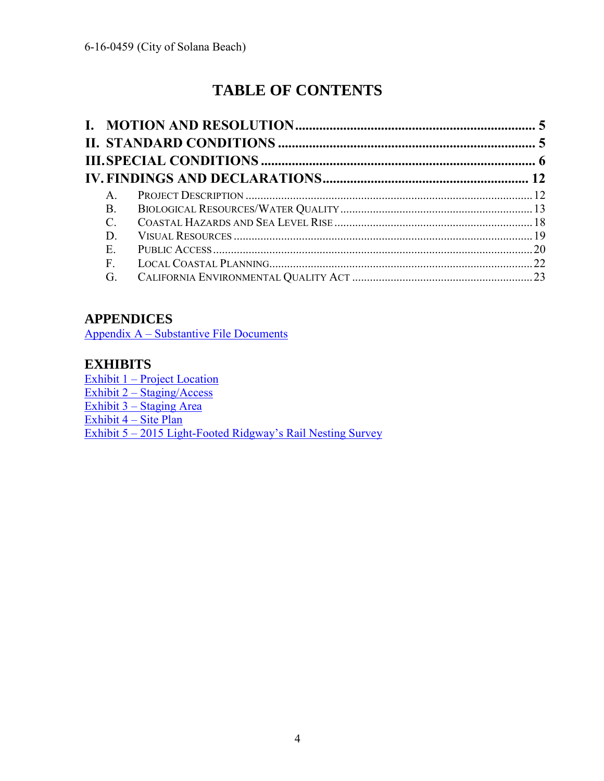## **TABLE OF CONTENTS**

| $\mathsf{A}$ |  |
|--------------|--|
| <b>B</b> .   |  |
| C.           |  |
| D            |  |
| E            |  |
| F            |  |
| G.           |  |

#### **APPENDICES**

[Appendix A – Substantive File Documents](#page-23-0)

#### **EXHIBITS**

[Exhibit 1 – Project Location](#page-24-0)  [Exhibit 2 – Staging/Access](#page-25-0)  [Exhibit 3 – Staging Area](#page-26-0)  [Exhibit 4 – Site Plan](#page-27-0)  [Exhibit 5 – 2015 Light-Footed Ridgway's Rail Nesting Survey](#page-28-0)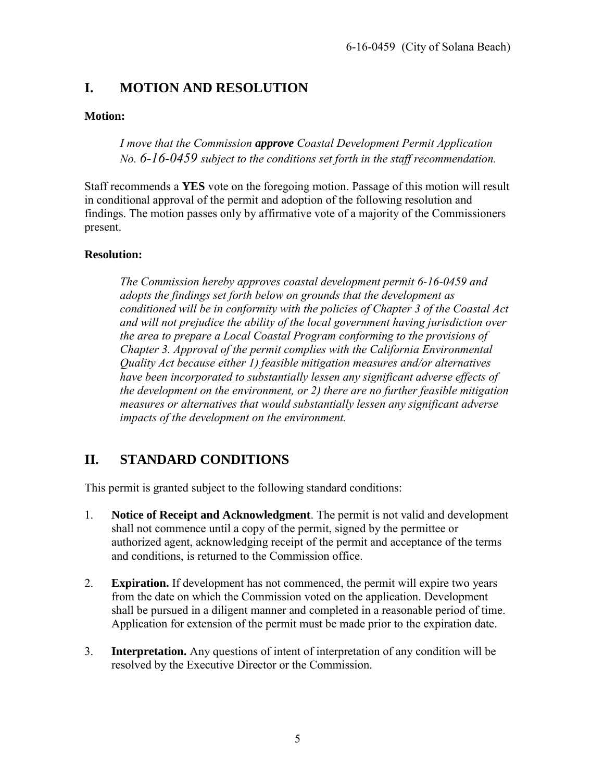#### <span id="page-4-0"></span>**I. MOTION AND RESOLUTION**

#### **Motion:**

*I move that the Commission approve Coastal Development Permit Application No. 6-16-0459 subject to the conditions set forth in the staff recommendation.* 

Staff recommends a **YES** vote on the foregoing motion. Passage of this motion will result in conditional approval of the permit and adoption of the following resolution and findings. The motion passes only by affirmative vote of a majority of the Commissioners present.

#### **Resolution:**

*The Commission hereby approves coastal development permit 6-16-0459 and adopts the findings set forth below on grounds that the development as conditioned will be in conformity with the policies of Chapter 3 of the Coastal Act and will not prejudice the ability of the local government having jurisdiction over the area to prepare a Local Coastal Program conforming to the provisions of Chapter 3. Approval of the permit complies with the California Environmental Quality Act because either 1) feasible mitigation measures and/or alternatives have been incorporated to substantially lessen any significant adverse effects of the development on the environment, or 2) there are no further feasible mitigation measures or alternatives that would substantially lessen any significant adverse impacts of the development on the environment.* 

### <span id="page-4-1"></span>**II. STANDARD CONDITIONS**

This permit is granted subject to the following standard conditions:

- 1. **Notice of Receipt and Acknowledgment**. The permit is not valid and development shall not commence until a copy of the permit, signed by the permittee or authorized agent, acknowledging receipt of the permit and acceptance of the terms and conditions, is returned to the Commission office.
- 2. **Expiration.** If development has not commenced, the permit will expire two years from the date on which the Commission voted on the application. Development shall be pursued in a diligent manner and completed in a reasonable period of time. Application for extension of the permit must be made prior to the expiration date.
- 3. **Interpretation.** Any questions of intent of interpretation of any condition will be resolved by the Executive Director or the Commission.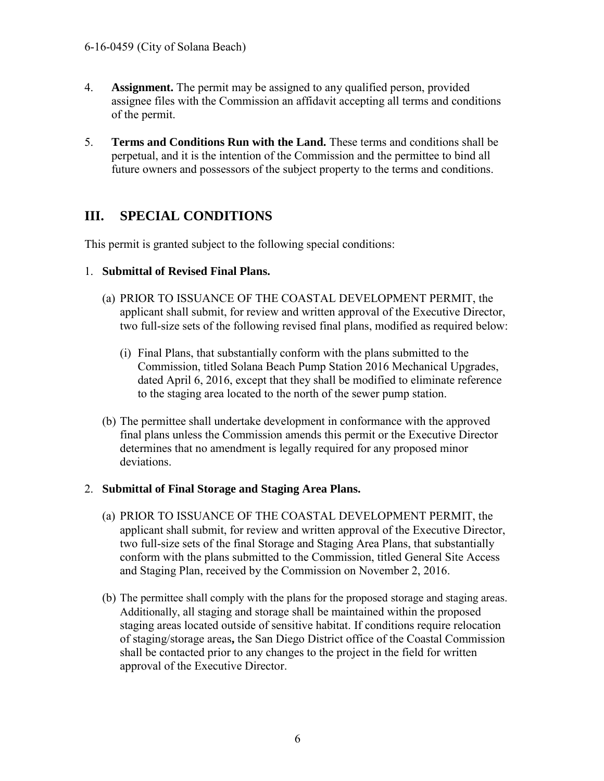- 4. **Assignment.** The permit may be assigned to any qualified person, provided assignee files with the Commission an affidavit accepting all terms and conditions of the permit.
- 5. **Terms and Conditions Run with the Land.** These terms and conditions shall be perpetual, and it is the intention of the Commission and the permittee to bind all future owners and possessors of the subject property to the terms and conditions.

### <span id="page-5-0"></span>**III. SPECIAL CONDITIONS**

This permit is granted subject to the following special conditions:

#### 1. **Submittal of Revised Final Plans.**

- (a) PRIOR TO ISSUANCE OF THE COASTAL DEVELOPMENT PERMIT, the applicant shall submit, for review and written approval of the Executive Director, two full-size sets of the following revised final plans, modified as required below:
	- (i) Final Plans, that substantially conform with the plans submitted to the Commission, titled Solana Beach Pump Station 2016 Mechanical Upgrades, dated April 6, 2016, except that they shall be modified to eliminate reference to the staging area located to the north of the sewer pump station.
- (b) The permittee shall undertake development in conformance with the approved final plans unless the Commission amends this permit or the Executive Director determines that no amendment is legally required for any proposed minor deviations.

#### 2. **Submittal of Final Storage and Staging Area Plans.**

- (a) PRIOR TO ISSUANCE OF THE COASTAL DEVELOPMENT PERMIT, the applicant shall submit, for review and written approval of the Executive Director, two full-size sets of the final Storage and Staging Area Plans, that substantially conform with the plans submitted to the Commission, titled General Site Access and Staging Plan, received by the Commission on November 2, 2016.
- (b) The permittee shall comply with the plans for the proposed storage and staging areas. Additionally, all staging and storage shall be maintained within the proposed staging areas located outside of sensitive habitat. If conditions require relocation of staging/storage areas**,** the San Diego District office of the Coastal Commission shall be contacted prior to any changes to the project in the field for written approval of the Executive Director.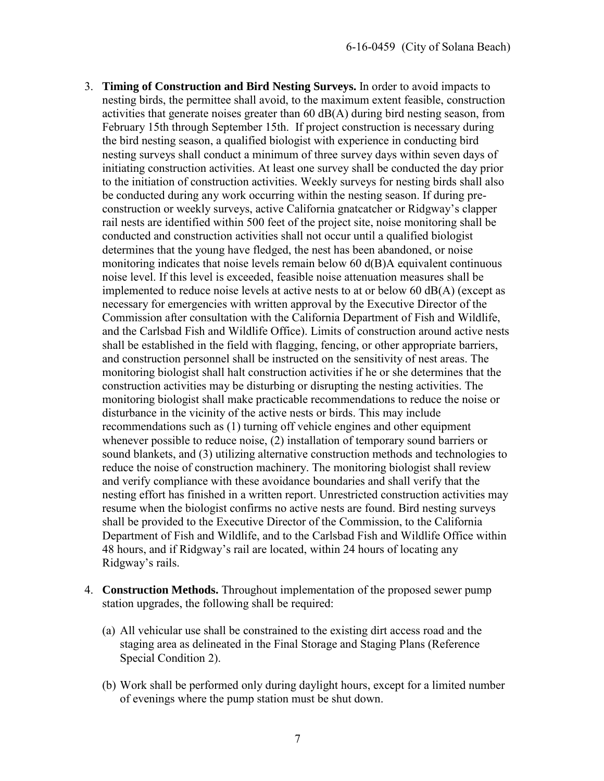- 3. **Timing of Construction and Bird Nesting Surveys.** In order to avoid impacts to nesting birds, the permittee shall avoid, to the maximum extent feasible, construction activities that generate noises greater than  $60$   $dB(A)$  during bird nesting season, from February 15th through September 15th. If project construction is necessary during the bird nesting season, a qualified biologist with experience in conducting bird nesting surveys shall conduct a minimum of three survey days within seven days of initiating construction activities. At least one survey shall be conducted the day prior to the initiation of construction activities. Weekly surveys for nesting birds shall also be conducted during any work occurring within the nesting season. If during preconstruction or weekly surveys, active California gnatcatcher or Ridgway's clapper rail nests are identified within 500 feet of the project site, noise monitoring shall be conducted and construction activities shall not occur until a qualified biologist determines that the young have fledged, the nest has been abandoned, or noise monitoring indicates that noise levels remain below 60 d(B)A equivalent continuous noise level. If this level is exceeded, feasible noise attenuation measures shall be implemented to reduce noise levels at active nests to at or below 60 dB(A) (except as necessary for emergencies with written approval by the Executive Director of the Commission after consultation with the California Department of Fish and Wildlife, and the Carlsbad Fish and Wildlife Office). Limits of construction around active nests shall be established in the field with flagging, fencing, or other appropriate barriers, and construction personnel shall be instructed on the sensitivity of nest areas. The monitoring biologist shall halt construction activities if he or she determines that the construction activities may be disturbing or disrupting the nesting activities. The monitoring biologist shall make practicable recommendations to reduce the noise or disturbance in the vicinity of the active nests or birds. This may include recommendations such as (1) turning off vehicle engines and other equipment whenever possible to reduce noise, (2) installation of temporary sound barriers or sound blankets, and (3) utilizing alternative construction methods and technologies to reduce the noise of construction machinery. The monitoring biologist shall review and verify compliance with these avoidance boundaries and shall verify that the nesting effort has finished in a written report. Unrestricted construction activities may resume when the biologist confirms no active nests are found. Bird nesting surveys shall be provided to the Executive Director of the Commission, to the California Department of Fish and Wildlife, and to the Carlsbad Fish and Wildlife Office within 48 hours, and if Ridgway's rail are located, within 24 hours of locating any Ridgway's rails.
- 4. **Construction Methods.** Throughout implementation of the proposed sewer pump station upgrades, the following shall be required:
	- (a) All vehicular use shall be constrained to the existing dirt access road and the staging area as delineated in the Final Storage and Staging Plans (Reference Special Condition 2).
	- (b) Work shall be performed only during daylight hours, except for a limited number of evenings where the pump station must be shut down.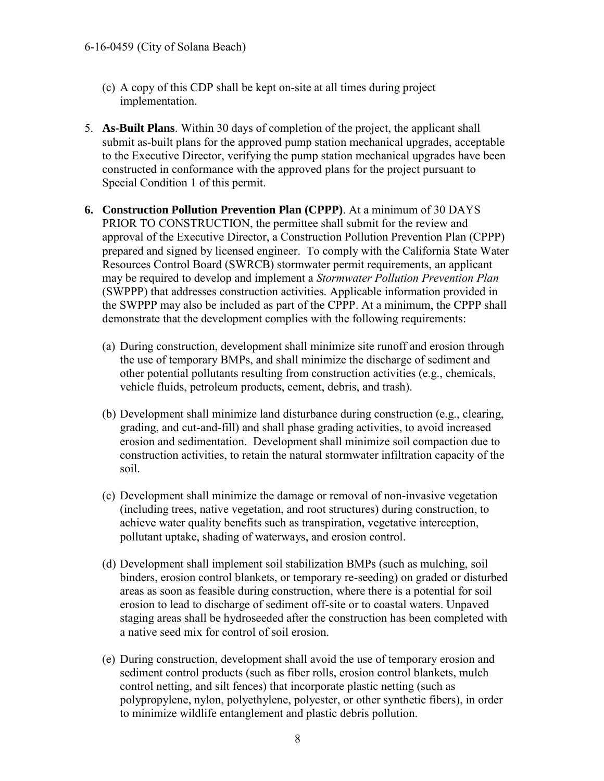- (c) A copy of this CDP shall be kept on-site at all times during project implementation.
- 5. **As-Built Plans**. Within 30 days of completion of the project, the applicant shall submit as-built plans for the approved pump station mechanical upgrades, acceptable to the Executive Director, verifying the pump station mechanical upgrades have been constructed in conformance with the approved plans for the project pursuant to Special Condition 1 of this permit.
- **6. Construction Pollution Prevention Plan (CPPP)**. At a minimum of 30 DAYS PRIOR TO CONSTRUCTION, the permittee shall submit for the review and approval of the Executive Director, a Construction Pollution Prevention Plan (CPPP) prepared and signed by licensed engineer. To comply with the California State Water Resources Control Board (SWRCB) stormwater permit requirements, an applicant may be required to develop and implement a *Stormwater Pollution Prevention Plan* (SWPPP) that addresses construction activities. Applicable information provided in the SWPPP may also be included as part of the CPPP. At a minimum, the CPPP shall demonstrate that the development complies with the following requirements:
	- (a) During construction, development shall minimize site runoff and erosion through the use of temporary BMPs, and shall minimize the discharge of sediment and other potential pollutants resulting from construction activities (e.g., chemicals, vehicle fluids, petroleum products, cement, debris, and trash).
	- (b) Development shall minimize land disturbance during construction (e.g., clearing, grading, and cut-and-fill) and shall phase grading activities, to avoid increased erosion and sedimentation. Development shall minimize soil compaction due to construction activities, to retain the natural stormwater infiltration capacity of the soil.
	- (c) Development shall minimize the damage or removal of non-invasive vegetation (including trees, native vegetation, and root structures) during construction, to achieve water quality benefits such as transpiration, vegetative interception, pollutant uptake, shading of waterways, and erosion control.
	- (d) Development shall implement soil stabilization BMPs (such as mulching, soil binders, erosion control blankets, or temporary re-seeding) on graded or disturbed areas as soon as feasible during construction, where there is a potential for soil erosion to lead to discharge of sediment off-site or to coastal waters. Unpaved staging areas shall be hydroseeded after the construction has been completed with a native seed mix for control of soil erosion.
	- (e) During construction, development shall avoid the use of temporary erosion and sediment control products (such as fiber rolls, erosion control blankets, mulch control netting, and silt fences) that incorporate plastic netting (such as polypropylene, nylon, polyethylene, polyester, or other synthetic fibers), in order to minimize wildlife entanglement and plastic debris pollution.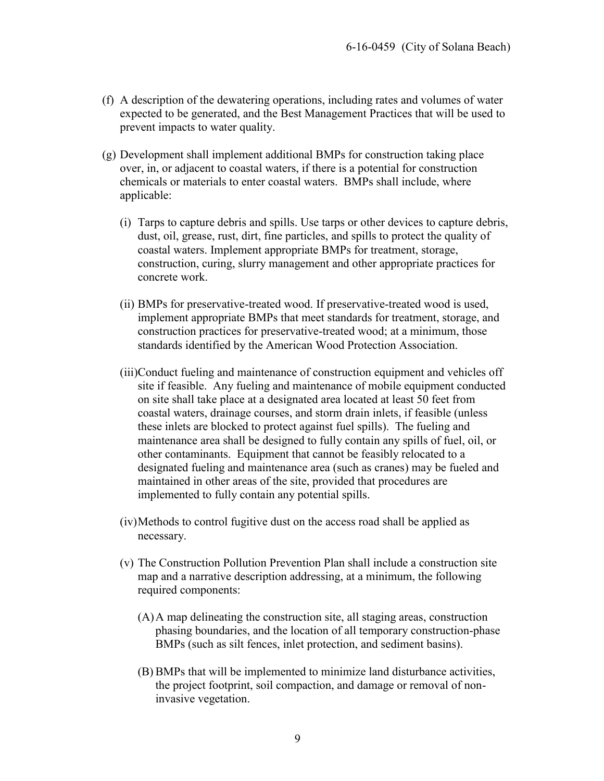- (f) A description of the dewatering operations, including rates and volumes of water expected to be generated, and the Best Management Practices that will be used to prevent impacts to water quality.
- (g) Development shall implement additional BMPs for construction taking place over, in, or adjacent to coastal waters, if there is a potential for construction chemicals or materials to enter coastal waters. BMPs shall include, where applicable:
	- (i) Tarps to capture debris and spills. Use tarps or other devices to capture debris, dust, oil, grease, rust, dirt, fine particles, and spills to protect the quality of coastal waters. Implement appropriate BMPs for treatment, storage, construction, curing, slurry management and other appropriate practices for concrete work.
	- (ii) BMPs for preservative-treated wood. If preservative-treated wood is used, implement appropriate BMPs that meet standards for treatment, storage, and construction practices for preservative-treated wood; at a minimum, those standards identified by the American Wood Protection Association.
	- (iii)Conduct fueling and maintenance of construction equipment and vehicles off site if feasible. Any fueling and maintenance of mobile equipment conducted on site shall take place at a designated area located at least 50 feet from coastal waters, drainage courses, and storm drain inlets, if feasible (unless these inlets are blocked to protect against fuel spills). The fueling and maintenance area shall be designed to fully contain any spills of fuel, oil, or other contaminants. Equipment that cannot be feasibly relocated to a designated fueling and maintenance area (such as cranes) may be fueled and maintained in other areas of the site, provided that procedures are implemented to fully contain any potential spills.
	- (iv) Methods to control fugitive dust on the access road shall be applied as necessary.
	- (v) The Construction Pollution Prevention Plan shall include a construction site map and a narrative description addressing, at a minimum, the following required components:
		- (A) A map delineating the construction site, all staging areas, construction phasing boundaries, and the location of all temporary construction-phase BMPs (such as silt fences, inlet protection, and sediment basins).
		- (B) BMPs that will be implemented to minimize land disturbance activities, the project footprint, soil compaction, and damage or removal of noninvasive vegetation.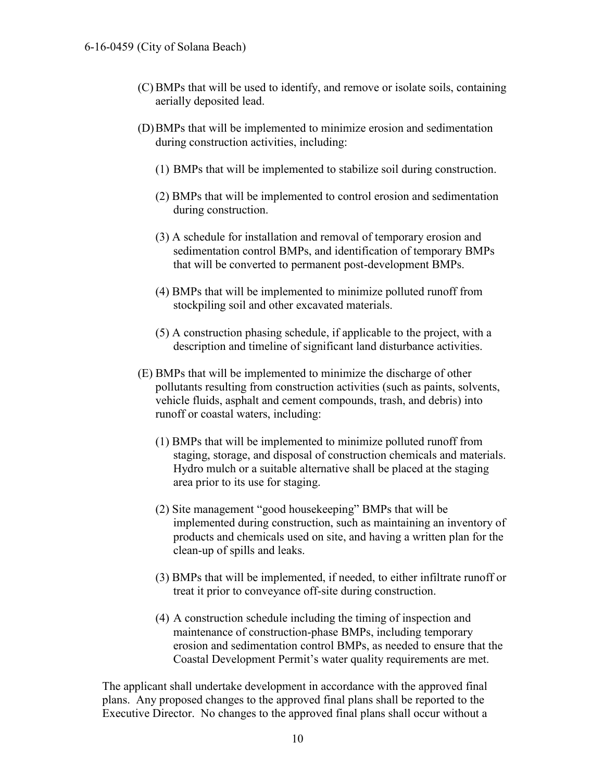- (C) BMPs that will be used to identify, and remove or isolate soils, containing aerially deposited lead.
- (D) BMPs that will be implemented to minimize erosion and sedimentation during construction activities, including:
	- (1) BMPs that will be implemented to stabilize soil during construction.
	- (2) BMPs that will be implemented to control erosion and sedimentation during construction.
	- (3) A schedule for installation and removal of temporary erosion and sedimentation control BMPs, and identification of temporary BMPs that will be converted to permanent post-development BMPs.
	- (4) BMPs that will be implemented to minimize polluted runoff from stockpiling soil and other excavated materials.
	- (5) A construction phasing schedule, if applicable to the project, with a description and timeline of significant land disturbance activities.
- (E) BMPs that will be implemented to minimize the discharge of other pollutants resulting from construction activities (such as paints, solvents, vehicle fluids, asphalt and cement compounds, trash, and debris) into runoff or coastal waters, including:
	- (1) BMPs that will be implemented to minimize polluted runoff from staging, storage, and disposal of construction chemicals and materials. Hydro mulch or a suitable alternative shall be placed at the staging area prior to its use for staging.
	- (2) Site management "good housekeeping" BMPs that will be implemented during construction, such as maintaining an inventory of products and chemicals used on site, and having a written plan for the clean-up of spills and leaks.
	- (3) BMPs that will be implemented, if needed, to either infiltrate runoff or treat it prior to conveyance off-site during construction.
	- (4) A construction schedule including the timing of inspection and maintenance of construction-phase BMPs, including temporary erosion and sedimentation control BMPs, as needed to ensure that the Coastal Development Permit's water quality requirements are met.

The applicant shall undertake development in accordance with the approved final plans. Any proposed changes to the approved final plans shall be reported to the Executive Director. No changes to the approved final plans shall occur without a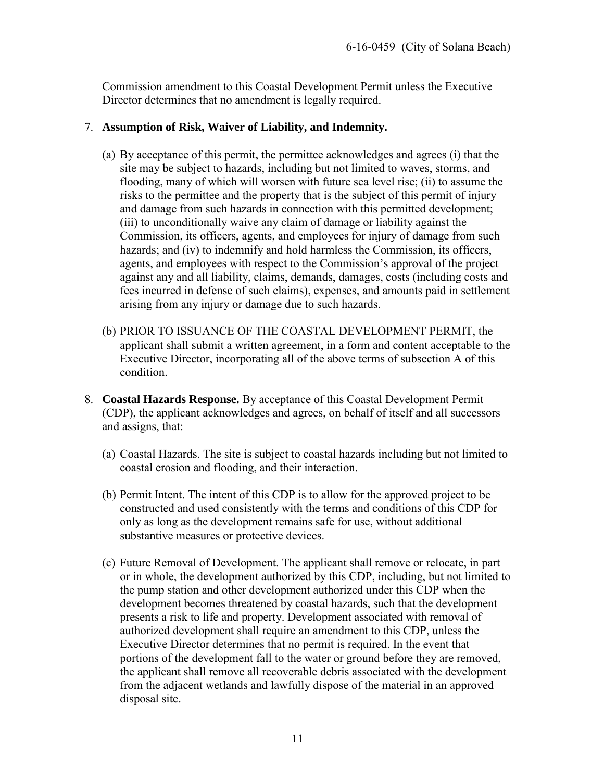Commission amendment to this Coastal Development Permit unless the Executive Director determines that no amendment is legally required.

#### 7. **Assumption of Risk, Waiver of Liability, and Indemnity.**

- (a) By acceptance of this permit, the permittee acknowledges and agrees (i) that the site may be subject to hazards, including but not limited to waves, storms, and flooding, many of which will worsen with future sea level rise; (ii) to assume the risks to the permittee and the property that is the subject of this permit of injury and damage from such hazards in connection with this permitted development; (iii) to unconditionally waive any claim of damage or liability against the Commission, its officers, agents, and employees for injury of damage from such hazards; and (iv) to indemnify and hold harmless the Commission, its officers, agents, and employees with respect to the Commission's approval of the project against any and all liability, claims, demands, damages, costs (including costs and fees incurred in defense of such claims), expenses, and amounts paid in settlement arising from any injury or damage due to such hazards.
- (b) PRIOR TO ISSUANCE OF THE COASTAL DEVELOPMENT PERMIT, the applicant shall submit a written agreement, in a form and content acceptable to the Executive Director, incorporating all of the above terms of subsection A of this condition.
- 8. **Coastal Hazards Response.** By acceptance of this Coastal Development Permit (CDP), the applicant acknowledges and agrees, on behalf of itself and all successors and assigns, that:
	- (a) Coastal Hazards. The site is subject to coastal hazards including but not limited to coastal erosion and flooding, and their interaction.
	- (b) Permit Intent. The intent of this CDP is to allow for the approved project to be constructed and used consistently with the terms and conditions of this CDP for only as long as the development remains safe for use, without additional substantive measures or protective devices.
	- (c) Future Removal of Development. The applicant shall remove or relocate, in part or in whole, the development authorized by this CDP, including, but not limited to the pump station and other development authorized under this CDP when the development becomes threatened by coastal hazards, such that the development presents a risk to life and property. Development associated with removal of authorized development shall require an amendment to this CDP, unless the Executive Director determines that no permit is required. In the event that portions of the development fall to the water or ground before they are removed, the applicant shall remove all recoverable debris associated with the development from the adjacent wetlands and lawfully dispose of the material in an approved disposal site.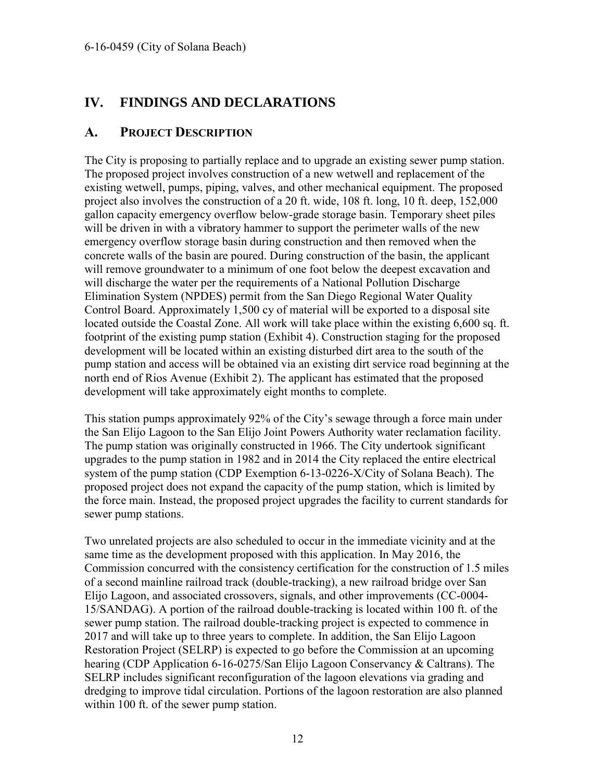#### <span id="page-11-0"></span>**IV. FINDINGS AND DECLARATIONS**

#### <span id="page-11-1"></span>**A. PROJECT DESCRIPTION**

The City is proposing to partially replace and to upgrade an existing sewer pump station. The proposed project involves construction of a new wetwell and replacement of the existing wetwell, pumps, piping, valves, and other mechanical equipment. The proposed project also involves the construction of a 20 ft. wide, 108 ft. long, 10 ft. deep, 152,000 gallon capacity emergency overflow below-grade storage basin. Temporary sheet piles will be driven in with a vibratory hammer to support the perimeter walls of the new emergency overflow storage basin during construction and then removed when the concrete walls of the basin are poured. During construction of the basin, the applicant will remove groundwater to a minimum of one foot below the deepest excavation and will discharge the water per the requirements of a National Pollution Discharge Elimination System (NPDES) permit from the San Diego Regional Water Quality Control Board. Approximately 1,500 cy of material will be exported to a disposal site located outside the Coastal Zone. All work will take place within the existing 6,600 sq. ft. footprint of the existing pump station (Exhibit 4). Construction staging for the proposed development will be located within an existing disturbed dirt area to the south of the pump station and access will be obtained via an existing dirt service road beginning at the north end of Rios Avenue (Exhibit 2). The applicant has estimated that the proposed development will take approximately eight months to complete.

This station pumps approximately 92% of the City's sewage through a force main under the San Elijo Lagoon to the San Elijo Joint Powers Authority water reclamation facility. The pump station was originally constructed in 1966. The City undertook significant upgrades to the pump station in 1982 and in 2014 the City replaced the entire electrical system of the pump station (CDP Exemption 6-13-0226-X/City of Solana Beach). The proposed project does not expand the capacity of the pump station, which is limited by the force main. Instead, the proposed project upgrades the facility to current standards for sewer pump stations.

Two unrelated projects are also scheduled to occur in the immediate vicinity and at the same time as the development proposed with this application. In May 2016, the Commission concurred with the consistency certification for the construction of 1.5 miles of a second mainline railroad track (double-tracking), a new railroad bridge over San Elijo Lagoon, and associated crossovers, signals, and other improvements (CC-0004- 15/SANDAG). A portion of the railroad double-tracking is located within 100 ft. of the sewer pump station. The railroad double-tracking project is expected to commence in 2017 and will take up to three years to complete. In addition, the San Elijo Lagoon Restoration Project (SELRP) is expected to go before the Commission at an upcoming hearing (CDP Application 6-16-0275/San Elijo Lagoon Conservancy & Caltrans). The SELRP includes significant reconfiguration of the lagoon elevations via grading and dredging to improve tidal circulation. Portions of the lagoon restoration are also planned within 100 ft. of the sewer pump station.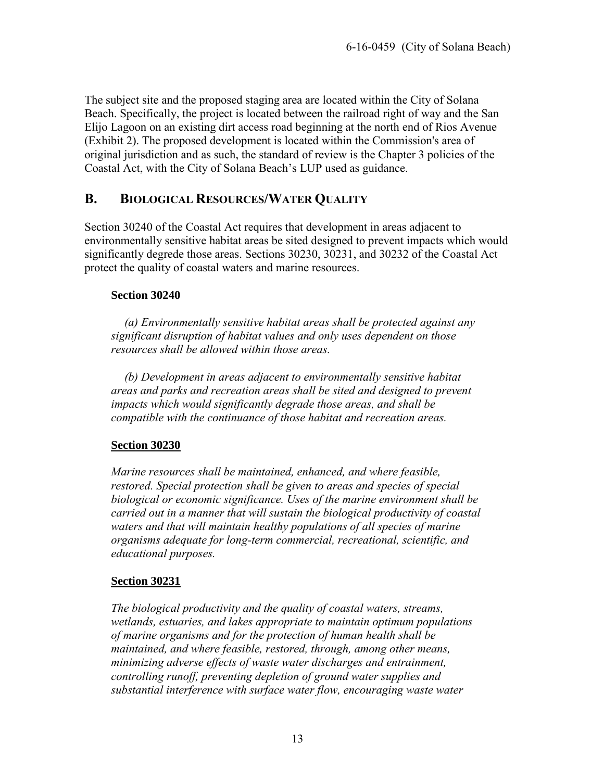The subject site and the proposed staging area are located within the City of Solana Beach. Specifically, the project is located between the railroad right of way and the San Elijo Lagoon on an existing dirt access road beginning at the north end of Rios Avenue (Exhibit 2). The proposed development is located within the Commission's area of original jurisdiction and as such, the standard of review is the Chapter 3 policies of the Coastal Act, with the City of Solana Beach's LUP used as guidance.

#### <span id="page-12-0"></span>**B. BIOLOGICAL RESOURCES/WATER QUALITY**

Section 30240 of the Coastal Act requires that development in areas adjacent to environmentally sensitive habitat areas be sited designed to prevent impacts which would significantly degrede those areas. Sections 30230, 30231, and 30232 of the Coastal Act protect the quality of coastal waters and marine resources.

#### **Section 30240**

*(a) Environmentally sensitive habitat areas shall be protected against any significant disruption of habitat values and only uses dependent on those resources shall be allowed within those areas.* 

 *(b) Development in areas adjacent to environmentally sensitive habitat areas and parks and recreation areas shall be sited and designed to prevent impacts which would significantly degrade those areas, and shall be compatible with the continuance of those habitat and recreation areas.* 

#### **Section 30230**

*Marine resources shall be maintained, enhanced, and where feasible, restored. Special protection shall be given to areas and species of special biological or economic significance. Uses of the marine environment shall be carried out in a manner that will sustain the biological productivity of coastal waters and that will maintain healthy populations of all species of marine organisms adequate for long-term commercial, recreational, scientific, and educational purposes.* 

#### **Section 30231**

*The biological productivity and the quality of coastal waters, streams, wetlands, estuaries, and lakes appropriate to maintain optimum populations of marine organisms and for the protection of human health shall be maintained, and where feasible, restored, through, among other means, minimizing adverse effects of waste water discharges and entrainment, controlling runoff, preventing depletion of ground water supplies and substantial interference with surface water flow, encouraging waste water*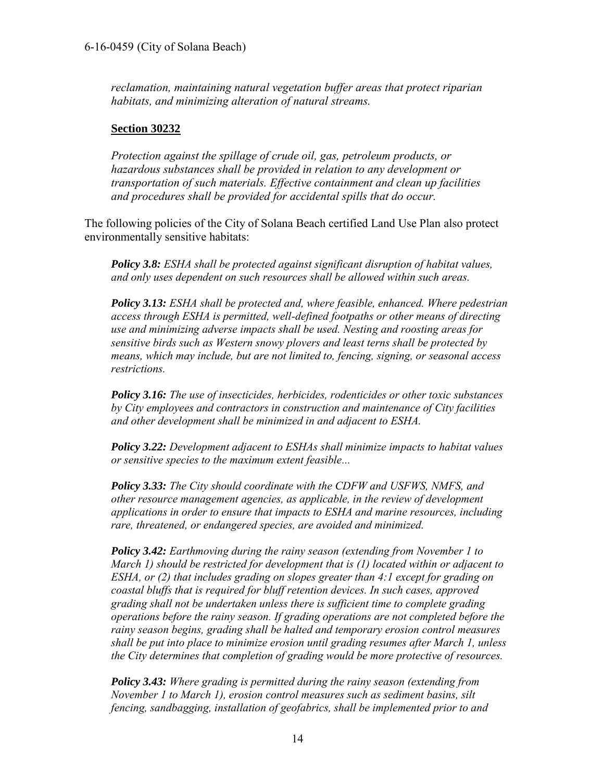*reclamation, maintaining natural vegetation buffer areas that protect riparian habitats, and minimizing alteration of natural streams.* 

#### **Section 30232**

*Protection against the spillage of crude oil, gas, petroleum products, or hazardous substances shall be provided in relation to any development or transportation of such materials. Effective containment and clean up facilities and procedures shall be provided for accidental spills that do occur.* 

The following policies of the City of Solana Beach certified Land Use Plan also protect environmentally sensitive habitats:

*Policy 3.8: ESHA shall be protected against significant disruption of habitat values, and only uses dependent on such resources shall be allowed within such areas.* 

*Policy 3.13: ESHA shall be protected and, where feasible, enhanced. Where pedestrian access through ESHA is permitted, well-defined footpaths or other means of directing use and minimizing adverse impacts shall be used. Nesting and roosting areas for sensitive birds such as Western snowy plovers and least terns shall be protected by means, which may include, but are not limited to, fencing, signing, or seasonal access restrictions.* 

*Policy 3.16: The use of insecticides, herbicides, rodenticides or other toxic substances by City employees and contractors in construction and maintenance of City facilities and other development shall be minimized in and adjacent to ESHA.* 

*Policy 3.22: Development adjacent to ESHAs shall minimize impacts to habitat values or sensitive species to the maximum extent feasible...* 

*Policy 3.33: The City should coordinate with the CDFW and USFWS, NMFS, and other resource management agencies, as applicable, in the review of development applications in order to ensure that impacts to ESHA and marine resources, including rare, threatened, or endangered species, are avoided and minimized.* 

*Policy 3.42: Earthmoving during the rainy season (extending from November 1 to March 1) should be restricted for development that is (1) located within or adjacent to ESHA, or (2) that includes grading on slopes greater than 4:1 except for grading on coastal bluffs that is required for bluff retention devices. In such cases, approved grading shall not be undertaken unless there is sufficient time to complete grading operations before the rainy season. If grading operations are not completed before the rainy season begins, grading shall be halted and temporary erosion control measures shall be put into place to minimize erosion until grading resumes after March 1, unless the City determines that completion of grading would be more protective of resources.* 

*Policy 3.43: Where grading is permitted during the rainy season (extending from November 1 to March 1), erosion control measures such as sediment basins, silt fencing, sandbagging, installation of geofabrics, shall be implemented prior to and*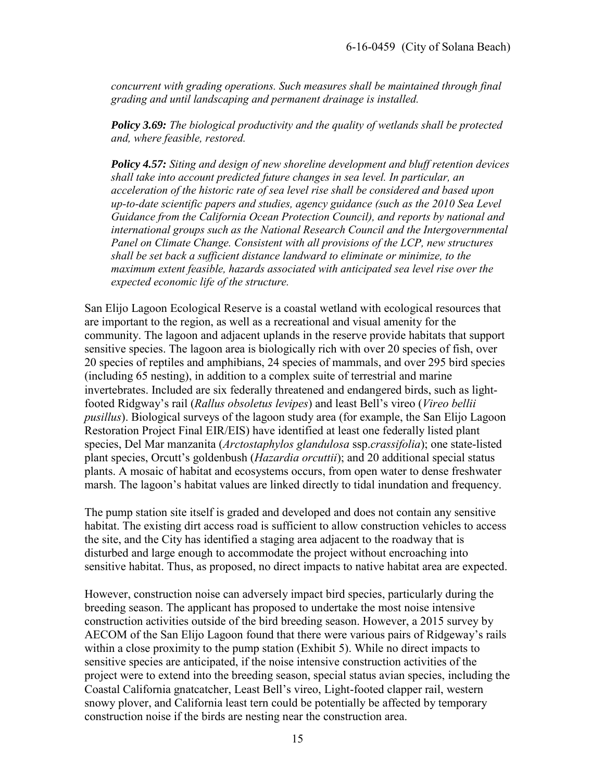*concurrent with grading operations. Such measures shall be maintained through final grading and until landscaping and permanent drainage is installed.* 

*Policy 3.69: The biological productivity and the quality of wetlands shall be protected and, where feasible, restored.* 

*Policy 4.57: Siting and design of new shoreline development and bluff retention devices shall take into account predicted future changes in sea level. In particular, an acceleration of the historic rate of sea level rise shall be considered and based upon up-to-date scientific papers and studies, agency guidance (such as the 2010 Sea Level Guidance from the California Ocean Protection Council), and reports by national and international groups such as the National Research Council and the Intergovernmental Panel on Climate Change. Consistent with all provisions of the LCP, new structures shall be set back a sufficient distance landward to eliminate or minimize, to the maximum extent feasible, hazards associated with anticipated sea level rise over the expected economic life of the structure.* 

San Elijo Lagoon Ecological Reserve is a coastal wetland with ecological resources that are important to the region, as well as a recreational and visual amenity for the community. The lagoon and adjacent uplands in the reserve provide habitats that support sensitive species. The lagoon area is biologically rich with over 20 species of fish, over 20 species of reptiles and amphibians, 24 species of mammals, and over 295 bird species (including 65 nesting), in addition to a complex suite of terrestrial and marine invertebrates. Included are six federally threatened and endangered birds, such as lightfooted Ridgway's rail (*Rallus obsoletus levipes*) and least Bell's vireo (*Vireo bellii pusillus*). Biological surveys of the lagoon study area (for example, the San Elijo Lagoon Restoration Project Final EIR/EIS) have identified at least one federally listed plant species, Del Mar manzanita (*Arctostaphylos glandulosa* ssp.*crassifolia*); one state-listed plant species, Orcutt's goldenbush (*Hazardia orcuttii*); and 20 additional special status plants. A mosaic of habitat and ecosystems occurs, from open water to dense freshwater marsh. The lagoon's habitat values are linked directly to tidal inundation and frequency.

The pump station site itself is graded and developed and does not contain any sensitive habitat. The existing dirt access road is sufficient to allow construction vehicles to access the site, and the City has identified a staging area adjacent to the roadway that is disturbed and large enough to accommodate the project without encroaching into sensitive habitat. Thus, as proposed, no direct impacts to native habitat area are expected.

However, construction noise can adversely impact bird species, particularly during the breeding season. The applicant has proposed to undertake the most noise intensive construction activities outside of the bird breeding season. However, a 2015 survey by AECOM of the San Elijo Lagoon found that there were various pairs of Ridgeway's rails within a close proximity to the pump station (Exhibit 5). While no direct impacts to sensitive species are anticipated, if the noise intensive construction activities of the project were to extend into the breeding season, special status avian species, including the Coastal California gnatcatcher, Least Bell's vireo, Light-footed clapper rail, western snowy plover, and California least tern could be potentially be affected by temporary construction noise if the birds are nesting near the construction area.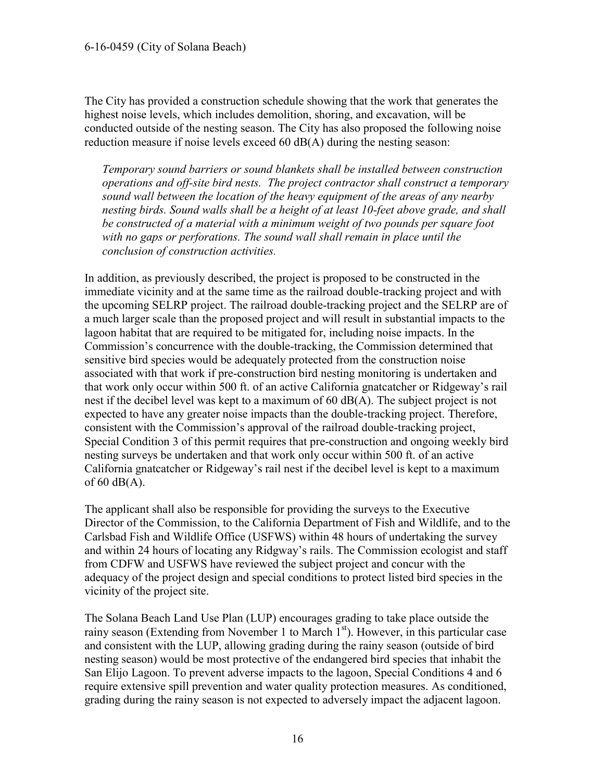The City has provided a construction schedule showing that the work that generates the highest noise levels, which includes demolition, shoring, and excavation, will be conducted outside of the nesting season. The City has also proposed the following noise reduction measure if noise levels exceed 60 dB(A) during the nesting season:

*Temporary sound barriers or sound blankets shall be installed between construction operations and off-site bird nests. The project contractor shall construct a temporary sound wall between the location of the heavy equipment of the areas of any nearby nesting birds. Sound walls shall be a height of at least 10-feet above grade, and shall be constructed of a material with a minimum weight of two pounds per square foot with no gaps or perforations. The sound wall shall remain in place until the conclusion of construction activities.*

In addition, as previously described, the project is proposed to be constructed in the immediate vicinity and at the same time as the railroad double-tracking project and with the upcoming SELRP project. The railroad double-tracking project and the SELRP are of a much larger scale than the proposed project and will result in substantial impacts to the lagoon habitat that are required to be mitigated for, including noise impacts. In the Commission's concurrence with the double-tracking, the Commission determined that sensitive bird species would be adequately protected from the construction noise associated with that work if pre-construction bird nesting monitoring is undertaken and that work only occur within 500 ft. of an active California gnatcatcher or Ridgeway's rail nest if the decibel level was kept to a maximum of 60 dB(A). The subject project is not expected to have any greater noise impacts than the double-tracking project. Therefore, consistent with the Commission's approval of the railroad double-tracking project, Special Condition 3 of this permit requires that pre-construction and ongoing weekly bird nesting surveys be undertaken and that work only occur within 500 ft. of an active California gnatcatcher or Ridgeway's rail nest if the decibel level is kept to a maximum of  $60$  dB(A).

The applicant shall also be responsible for providing the surveys to the Executive Director of the Commission, to the California Department of Fish and Wildlife, and to the Carlsbad Fish and Wildlife Office (USFWS) within 48 hours of undertaking the survey and within 24 hours of locating any Ridgway's rails. The Commission ecologist and staff from CDFW and USFWS have reviewed the subject project and concur with the adequacy of the project design and special conditions to protect listed bird species in the vicinity of the project site.

The Solana Beach Land Use Plan (LUP) encourages grading to take place outside the rainy season (Extending from November 1 to March  $1<sup>st</sup>$ ). However, in this particular case and consistent with the LUP, allowing grading during the rainy season (outside of bird nesting season) would be most protective of the endangered bird species that inhabit the San Elijo Lagoon. To prevent adverse impacts to the lagoon, Special Conditions 4 and 6 require extensive spill prevention and water quality protection measures. As conditioned, grading during the rainy season is not expected to adversely impact the adjacent lagoon.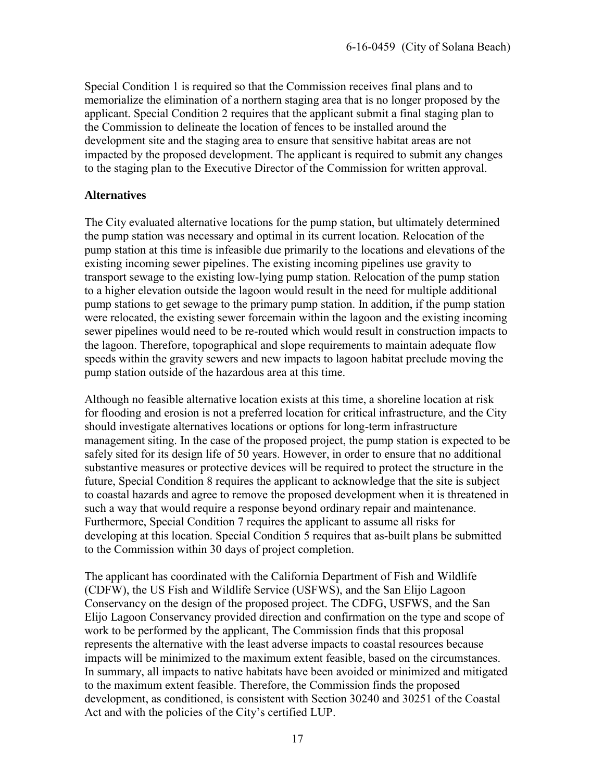Special Condition 1 is required so that the Commission receives final plans and to memorialize the elimination of a northern staging area that is no longer proposed by the applicant. Special Condition 2 requires that the applicant submit a final staging plan to the Commission to delineate the location of fences to be installed around the development site and the staging area to ensure that sensitive habitat areas are not impacted by the proposed development. The applicant is required to submit any changes to the staging plan to the Executive Director of the Commission for written approval.

#### **Alternatives**

The City evaluated alternative locations for the pump station, but ultimately determined the pump station was necessary and optimal in its current location. Relocation of the pump station at this time is infeasible due primarily to the locations and elevations of the existing incoming sewer pipelines. The existing incoming pipelines use gravity to transport sewage to the existing low-lying pump station. Relocation of the pump station to a higher elevation outside the lagoon would result in the need for multiple additional pump stations to get sewage to the primary pump station. In addition, if the pump station were relocated, the existing sewer forcemain within the lagoon and the existing incoming sewer pipelines would need to be re-routed which would result in construction impacts to the lagoon. Therefore, topographical and slope requirements to maintain adequate flow speeds within the gravity sewers and new impacts to lagoon habitat preclude moving the pump station outside of the hazardous area at this time.

Although no feasible alternative location exists at this time, a shoreline location at risk for flooding and erosion is not a preferred location for critical infrastructure, and the City should investigate alternatives locations or options for long-term infrastructure management siting. In the case of the proposed project, the pump station is expected to be safely sited for its design life of 50 years. However, in order to ensure that no additional substantive measures or protective devices will be required to protect the structure in the future, Special Condition 8 requires the applicant to acknowledge that the site is subject to coastal hazards and agree to remove the proposed development when it is threatened in such a way that would require a response beyond ordinary repair and maintenance. Furthermore, Special Condition 7 requires the applicant to assume all risks for developing at this location. Special Condition 5 requires that as-built plans be submitted to the Commission within 30 days of project completion.

The applicant has coordinated with the California Department of Fish and Wildlife (CDFW), the US Fish and Wildlife Service (USFWS), and the San Elijo Lagoon Conservancy on the design of the proposed project. The CDFG, USFWS, and the San Elijo Lagoon Conservancy provided direction and confirmation on the type and scope of work to be performed by the applicant, The Commission finds that this proposal represents the alternative with the least adverse impacts to coastal resources because impacts will be minimized to the maximum extent feasible, based on the circumstances. In summary, all impacts to native habitats have been avoided or minimized and mitigated to the maximum extent feasible. Therefore, the Commission finds the proposed development, as conditioned, is consistent with Section 30240 and 30251 of the Coastal Act and with the policies of the City's certified LUP.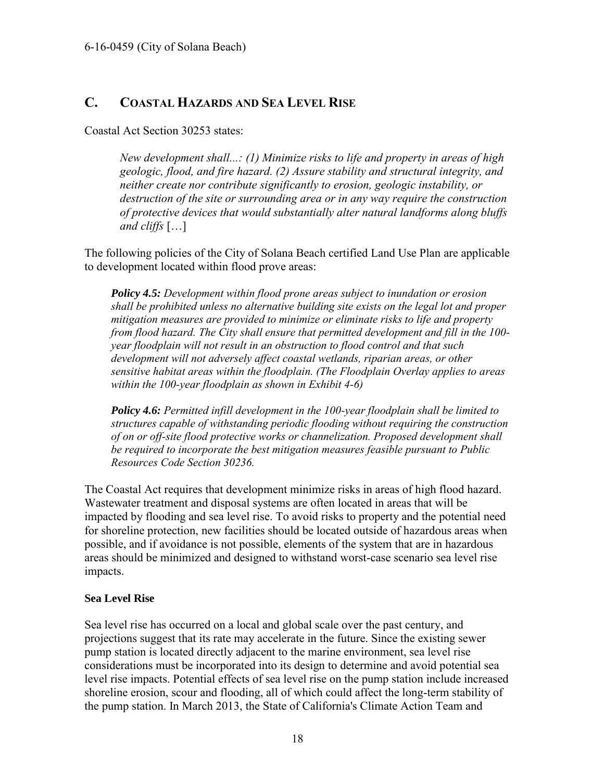#### <span id="page-17-0"></span>**C. COASTAL HAZARDS AND SEA LEVEL RISE**

Coastal Act Section 30253 states:

*New development shall...: (1) Minimize risks to life and property in areas of high geologic, flood, and fire hazard. (2) Assure stability and structural integrity, and neither create nor contribute significantly to erosion, geologic instability, or destruction of the site or surrounding area or in any way require the construction of protective devices that would substantially alter natural landforms along bluffs and cliffs* […]

The following policies of the City of Solana Beach certified Land Use Plan are applicable to development located within flood prove areas:

*Policy 4.5: Development within flood prone areas subject to inundation or erosion shall be prohibited unless no alternative building site exists on the legal lot and proper mitigation measures are provided to minimize or eliminate risks to life and property from flood hazard. The City shall ensure that permitted development and fill in the 100 year floodplain will not result in an obstruction to flood control and that such development will not adversely affect coastal wetlands, riparian areas, or other sensitive habitat areas within the floodplain. (The Floodplain Overlay applies to areas within the 100-year floodplain as shown in Exhibit 4-6)* 

*Policy 4.6: Permitted infill development in the 100-year floodplain shall be limited to structures capable of withstanding periodic flooding without requiring the construction of on or off-site flood protective works or channelization. Proposed development shall be required to incorporate the best mitigation measures feasible pursuant to Public Resources Code Section 30236.* 

The Coastal Act requires that development minimize risks in areas of high flood hazard. Wastewater treatment and disposal systems are often located in areas that will be impacted by flooding and sea level rise. To avoid risks to property and the potential need for shoreline protection, new facilities should be located outside of hazardous areas when possible, and if avoidance is not possible, elements of the system that are in hazardous areas should be minimized and designed to withstand worst-case scenario sea level rise impacts.

#### **Sea Level Rise**

Sea level rise has occurred on a local and global scale over the past century, and projections suggest that its rate may accelerate in the future. Since the existing sewer pump station is located directly adjacent to the marine environment, sea level rise considerations must be incorporated into its design to determine and avoid potential sea level rise impacts. Potential effects of sea level rise on the pump station include increased shoreline erosion, scour and flooding, all of which could affect the long-term stability of the pump station. In March 2013, the State of California's Climate Action Team and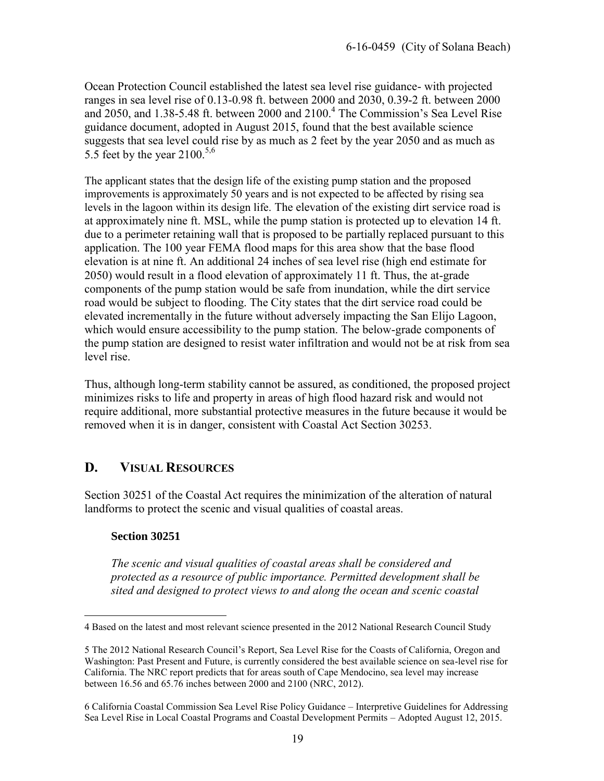Ocean Protection Council established the latest sea level rise guidance- with projected ranges in sea level rise of 0.13-0.98 ft. between 2000 and 2030, 0.39-2 ft. between 2000 and 2050, and 1.38-5.48 ft. between 2000 and  $2100.<sup>4</sup>$  The Commission's Sea Level Rise guidance document, adopted in August 2015, found that the best available science suggests that sea level could rise by as much as 2 feet by the year 2050 and as much as 5.5 feet by the year 2100.<sup>5,6</sup>

The applicant states that the design life of the existing pump station and the proposed improvements is approximately 50 years and is not expected to be affected by rising sea levels in the lagoon within its design life. The elevation of the existing dirt service road is at approximately nine ft. MSL, while the pump station is protected up to elevation 14 ft. due to a perimeter retaining wall that is proposed to be partially replaced pursuant to this application. The 100 year FEMA flood maps for this area show that the base flood elevation is at nine ft. An additional 24 inches of sea level rise (high end estimate for 2050) would result in a flood elevation of approximately 11 ft. Thus, the at-grade components of the pump station would be safe from inundation, while the dirt service road would be subject to flooding. The City states that the dirt service road could be elevated incrementally in the future without adversely impacting the San Elijo Lagoon, which would ensure accessibility to the pump station. The below-grade components of the pump station are designed to resist water infiltration and would not be at risk from sea level rise.

Thus, although long-term stability cannot be assured, as conditioned, the proposed project minimizes risks to life and property in areas of high flood hazard risk and would not require additional, more substantial protective measures in the future because it would be removed when it is in danger, consistent with Coastal Act Section 30253.

#### <span id="page-18-0"></span>**D. VISUAL RESOURCES**

Section 30251 of the Coastal Act requires the minimization of the alteration of natural landforms to protect the scenic and visual qualities of coastal areas.

#### **Section 30251**

*The scenic and visual qualities of coastal areas shall be considered and protected as a resource of public importance. Permitted development shall be sited and designed to protect views to and along the ocean and scenic coastal* 

 $\overline{a}$ 4 Based on the latest and most relevant science presented in the 2012 National Research Council Study

<sup>5</sup> The 2012 National Research Council's Report, Sea Level Rise for the Coasts of California, Oregon and Washington: Past Present and Future, is currently considered the best available science on sea-level rise for California. The NRC report predicts that for areas south of Cape Mendocino, sea level may increase between 16.56 and 65.76 inches between 2000 and 2100 (NRC, 2012).

<sup>6</sup> California Coastal Commission Sea Level Rise Policy Guidance – Interpretive Guidelines for Addressing Sea Level Rise in Local Coastal Programs and Coastal Development Permits – Adopted August 12, 2015.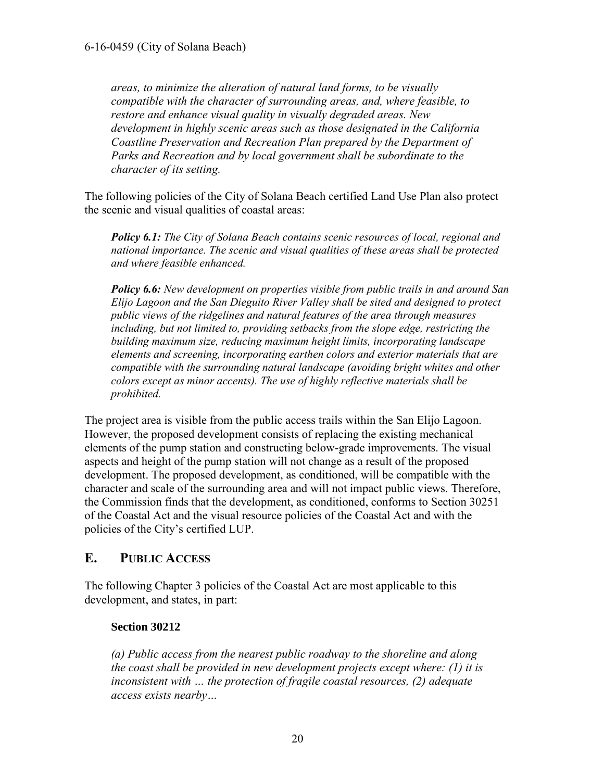*areas, to minimize the alteration of natural land forms, to be visually compatible with the character of surrounding areas, and, where feasible, to restore and enhance visual quality in visually degraded areas. New development in highly scenic areas such as those designated in the California Coastline Preservation and Recreation Plan prepared by the Department of Parks and Recreation and by local government shall be subordinate to the character of its setting.* 

The following policies of the City of Solana Beach certified Land Use Plan also protect the scenic and visual qualities of coastal areas:

*Policy 6.1: The City of Solana Beach contains scenic resources of local, regional and national importance. The scenic and visual qualities of these areas shall be protected and where feasible enhanced.* 

*Policy 6.6: New development on properties visible from public trails in and around San Elijo Lagoon and the San Dieguito River Valley shall be sited and designed to protect public views of the ridgelines and natural features of the area through measures including, but not limited to, providing setbacks from the slope edge, restricting the building maximum size, reducing maximum height limits, incorporating landscape elements and screening, incorporating earthen colors and exterior materials that are compatible with the surrounding natural landscape (avoiding bright whites and other colors except as minor accents). The use of highly reflective materials shall be prohibited.* 

The project area is visible from the public access trails within the San Elijo Lagoon. However, the proposed development consists of replacing the existing mechanical elements of the pump station and constructing below-grade improvements. The visual aspects and height of the pump station will not change as a result of the proposed development. The proposed development, as conditioned, will be compatible with the character and scale of the surrounding area and will not impact public views. Therefore, the Commission finds that the development, as conditioned, conforms to Section 30251 of the Coastal Act and the visual resource policies of the Coastal Act and with the policies of the City's certified LUP.

#### <span id="page-19-0"></span>**E. PUBLIC ACCESS**

The following Chapter 3 policies of the Coastal Act are most applicable to this development, and states, in part:

#### **Section 30212**

*(a) Public access from the nearest public roadway to the shoreline and along the coast shall be provided in new development projects except where: (1) it is inconsistent with … the protection of fragile coastal resources, (2) adequate access exists nearby…*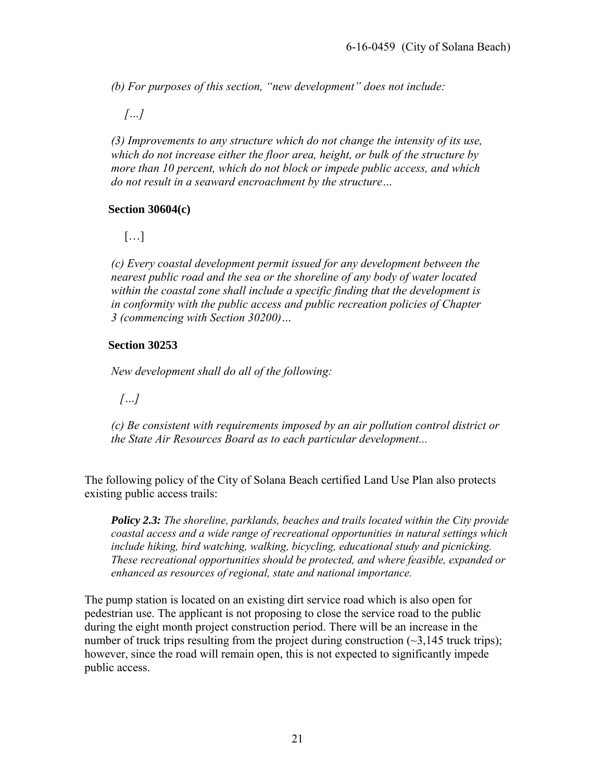*(b) For purposes of this section, "new development" does not include:* 

 *[…]* 

 *(3) Improvements to any structure which do not change the intensity of its use, which do not increase either the floor area, height, or bulk of the structure by more than 10 percent, which do not block or impede public access, and which do not result in a seaward encroachment by the structure…* 

#### **Section 30604(c)**

[…]

*(c) Every coastal development permit issued for any development between the nearest public road and the sea or the shoreline of any body of water located within the coastal zone shall include a specific finding that the development is in conformity with the public access and public recreation policies of Chapter 3 (commencing with Section 30200)…* 

#### **Section 30253**

*New development shall do all of the following:* 

 *[…]* 

*(c) Be consistent with requirements imposed by an air pollution control district or the State Air Resources Board as to each particular development...* 

The following policy of the City of Solana Beach certified Land Use Plan also protects existing public access trails:

*Policy 2.3: The shoreline, parklands, beaches and trails located within the City provide coastal access and a wide range of recreational opportunities in natural settings which include hiking, bird watching, walking, bicycling, educational study and picnicking. These recreational opportunities should be protected, and where feasible, expanded or enhanced as resources of regional, state and national importance.*

The pump station is located on an existing dirt service road which is also open for pedestrian use. The applicant is not proposing to close the service road to the public during the eight month project construction period. There will be an increase in the number of truck trips resulting from the project during construction  $(\sim 3.145$  truck trips); however, since the road will remain open, this is not expected to significantly impede public access.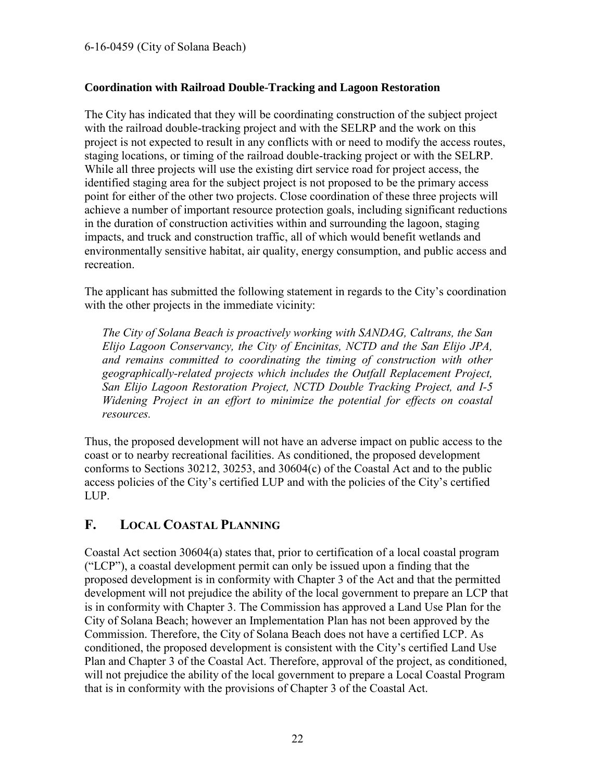#### **Coordination with Railroad Double-Tracking and Lagoon Restoration**

The City has indicated that they will be coordinating construction of the subject project with the railroad double-tracking project and with the SELRP and the work on this project is not expected to result in any conflicts with or need to modify the access routes, staging locations, or timing of the railroad double-tracking project or with the SELRP. While all three projects will use the existing dirt service road for project access, the identified staging area for the subject project is not proposed to be the primary access point for either of the other two projects. Close coordination of these three projects will achieve a number of important resource protection goals, including significant reductions in the duration of construction activities within and surrounding the lagoon, staging impacts, and truck and construction traffic, all of which would benefit wetlands and environmentally sensitive habitat, air quality, energy consumption, and public access and recreation.

The applicant has submitted the following statement in regards to the City's coordination with the other projects in the immediate vicinity:

*The City of Solana Beach is proactively working with SANDAG, Caltrans, the San Elijo Lagoon Conservancy, the City of Encinitas, NCTD and the San Elijo JPA, and remains committed to coordinating the timing of construction with other geographically-related projects which includes the Outfall Replacement Project, San Elijo Lagoon Restoration Project, NCTD Double Tracking Project, and I-5 Widening Project in an effort to minimize the potential for effects on coastal resources.* 

Thus, the proposed development will not have an adverse impact on public access to the coast or to nearby recreational facilities. As conditioned, the proposed development conforms to Sections 30212, 30253, and 30604(c) of the Coastal Act and to the public access policies of the City's certified LUP and with the policies of the City's certified LUP.

#### <span id="page-21-0"></span>**F. LOCAL COASTAL PLANNING**

Coastal Act section 30604(a) states that, prior to certification of a local coastal program ("LCP"), a coastal development permit can only be issued upon a finding that the proposed development is in conformity with Chapter 3 of the Act and that the permitted development will not prejudice the ability of the local government to prepare an LCP that is in conformity with Chapter 3. The Commission has approved a Land Use Plan for the City of Solana Beach; however an Implementation Plan has not been approved by the Commission. Therefore, the City of Solana Beach does not have a certified LCP. As conditioned, the proposed development is consistent with the City's certified Land Use Plan and Chapter 3 of the Coastal Act. Therefore, approval of the project, as conditioned, will not prejudice the ability of the local government to prepare a Local Coastal Program that is in conformity with the provisions of Chapter 3 of the Coastal Act.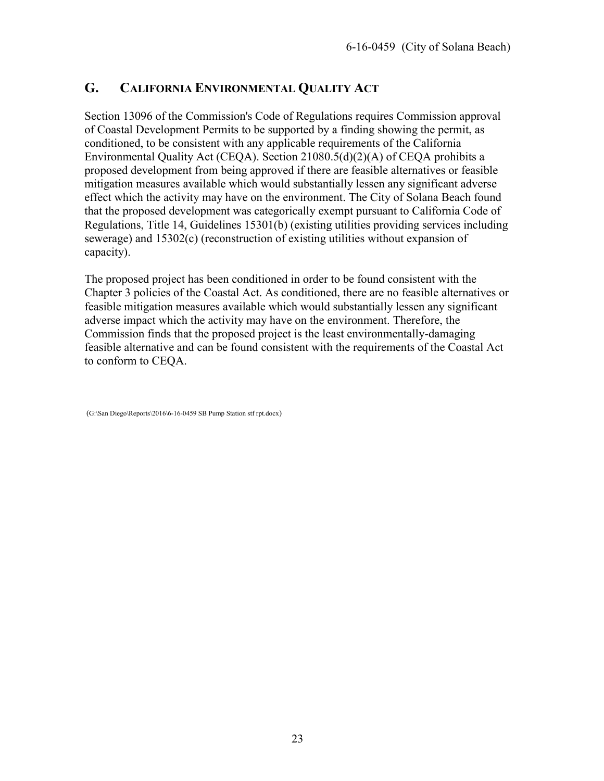#### <span id="page-22-0"></span>**G. CALIFORNIA ENVIRONMENTAL QUALITY ACT**

Section 13096 of the Commission's Code of Regulations requires Commission approval of Coastal Development Permits to be supported by a finding showing the permit, as conditioned, to be consistent with any applicable requirements of the California Environmental Quality Act (CEQA). Section 21080.5(d)(2)(A) of CEQA prohibits a proposed development from being approved if there are feasible alternatives or feasible mitigation measures available which would substantially lessen any significant adverse effect which the activity may have on the environment. The City of Solana Beach found that the proposed development was categorically exempt pursuant to California Code of Regulations, Title 14, Guidelines 15301(b) (existing utilities providing services including sewerage) and 15302(c) (reconstruction of existing utilities without expansion of capacity).

The proposed project has been conditioned in order to be found consistent with the Chapter 3 policies of the Coastal Act. As conditioned, there are no feasible alternatives or feasible mitigation measures available which would substantially lessen any significant adverse impact which the activity may have on the environment. Therefore, the Commission finds that the proposed project is the least environmentally-damaging feasible alternative and can be found consistent with the requirements of the Coastal Act to conform to CEQA.

(G:\San Diego\Reports\2016\6-16-0459 SB Pump Station stf rpt.docx)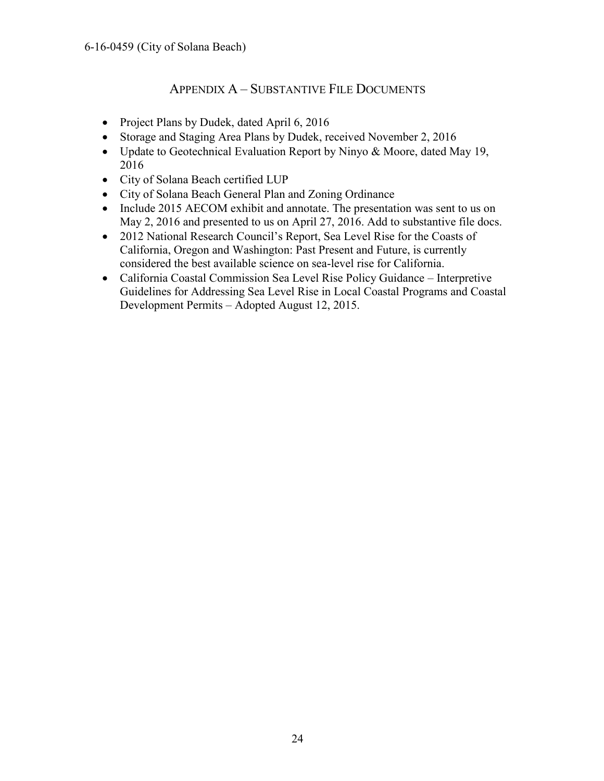#### APPENDIX A – SUBSTANTIVE FILE DOCUMENTS

- <span id="page-23-0"></span>• Project Plans by Dudek, dated April 6, 2016
- Storage and Staging Area Plans by Dudek, received November 2, 2016
- Update to Geotechnical Evaluation Report by Ninyo & Moore, dated May 19, 2016
- City of Solana Beach certified LUP
- City of Solana Beach General Plan and Zoning Ordinance
- Include 2015 AECOM exhibit and annotate. The presentation was sent to us on May 2, 2016 and presented to us on April 27, 2016. Add to substantive file docs.
- 2012 National Research Council's Report, Sea Level Rise for the Coasts of California, Oregon and Washington: Past Present and Future, is currently considered the best available science on sea-level rise for California.
- California Coastal Commission Sea Level Rise Policy Guidance Interpretive Guidelines for Addressing Sea Level Rise in Local Coastal Programs and Coastal Development Permits – Adopted August 12, 2015.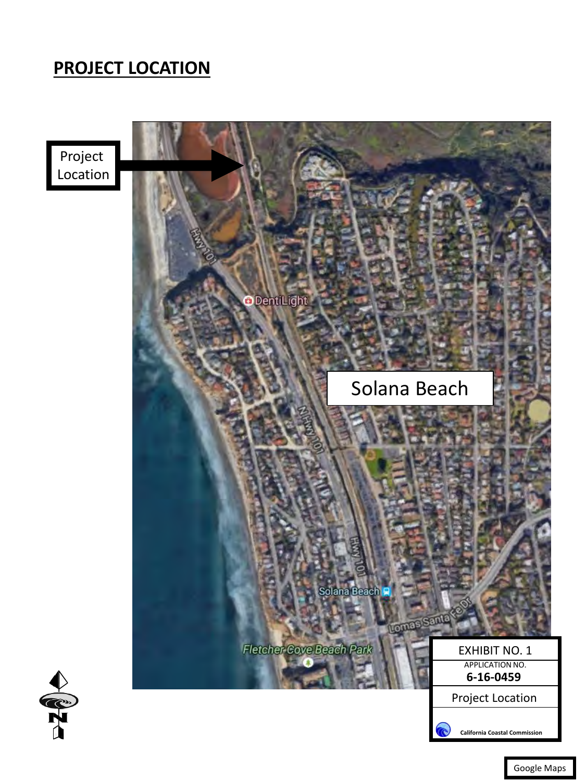## <span id="page-24-0"></span>**PROJECT LOCATION**

Project Location





Google Maps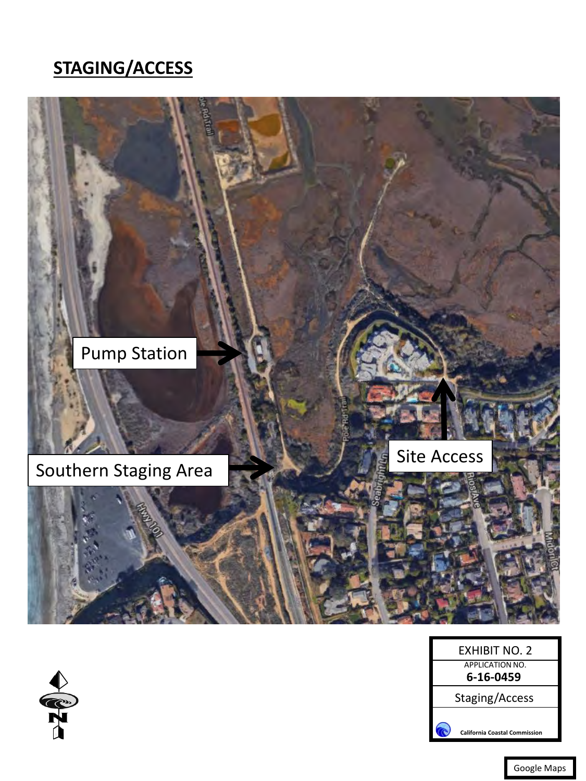## <span id="page-25-0"></span>**STAGING/ACCESS**



| EXHIBIT NO. 2                 |  |  |
|-------------------------------|--|--|
| <b>APPLICATION NO.</b>        |  |  |
| 6-16-0459                     |  |  |
| Staging/Access                |  |  |
| California Coastal Commission |  |  |



Google Maps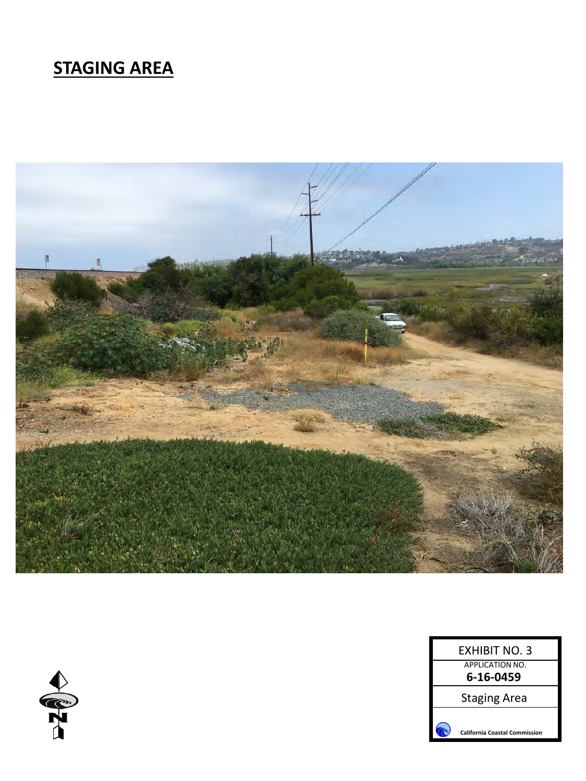## <span id="page-26-0"></span>**STAGING AREA**



|                        | <b>EXHIBIT NO. 3</b>                 |
|------------------------|--------------------------------------|
| <b>APPLICATION NO.</b> |                                      |
|                        | 6-16-0459                            |
|                        | <b>Staging Area</b>                  |
|                        |                                      |
|                        | <b>California Coastal Commission</b> |

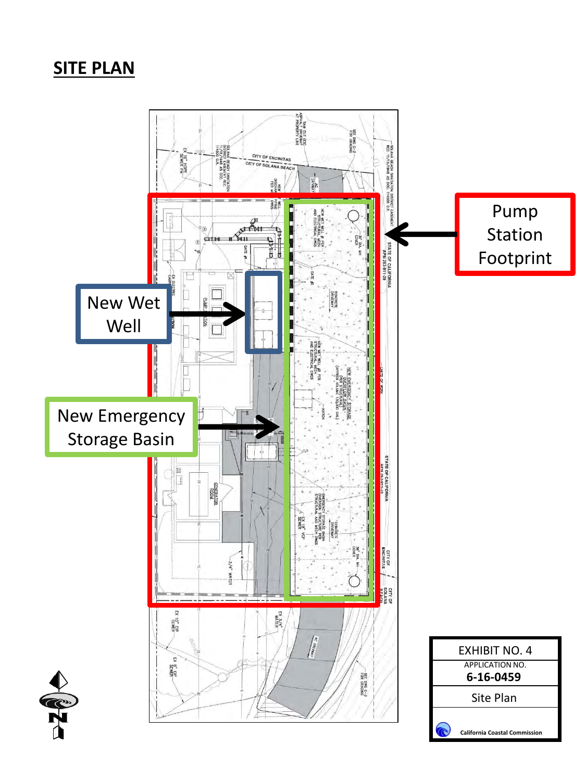## <span id="page-27-0"></span>**SITE PLAN**